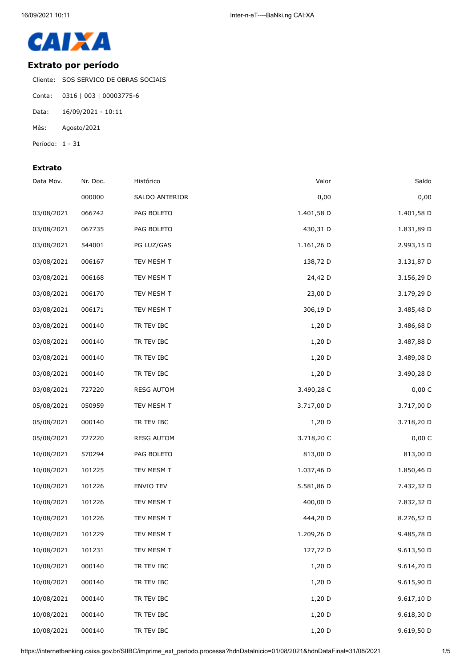

## **Extrato por período**

Cliente: SOS SERVICO DE OBRAS SOCIAIS

- Conta: 0316 | 003 | 00003775-6
- Data: 16/09/2021 10:11
- Mês: Agosto/2021
- Período: 1 31

## **Extrato**

| Data Mov.  | Nr. Doc. | Histórico         | Valor      | Saldo      |
|------------|----------|-------------------|------------|------------|
|            | 000000   | SALDO ANTERIOR    | 0,00       | 0,00       |
| 03/08/2021 | 066742   | PAG BOLETO        | 1.401,58 D | 1.401,58 D |
| 03/08/2021 | 067735   | PAG BOLETO        | 430,31 D   | 1.831,89 D |
| 03/08/2021 | 544001   | PG LUZ/GAS        | 1.161,26 D | 2.993,15 D |
| 03/08/2021 | 006167   | TEV MESM T        | 138,72 D   | 3.131,87 D |
| 03/08/2021 | 006168   | TEV MESM T        | 24,42 D    | 3.156,29 D |
| 03/08/2021 | 006170   | TEV MESM T        | 23,00 D    | 3.179,29 D |
| 03/08/2021 | 006171   | TEV MESM T        | 306,19 D   | 3.485,48 D |
| 03/08/2021 | 000140   | TR TEV IBC        | $1,20$ D   | 3.486,68 D |
| 03/08/2021 | 000140   | TR TEV IBC        | 1,20 D     | 3.487,88 D |
| 03/08/2021 | 000140   | TR TEV IBC        | 1,20 D     | 3.489,08 D |
| 03/08/2021 | 000140   | TR TEV IBC        | $1,20$ D   | 3.490,28 D |
| 03/08/2021 | 727220   | <b>RESG AUTOM</b> | 3.490,28 C | 0,00 C     |
| 05/08/2021 | 050959   | TEV MESM T        | 3.717,00 D | 3.717,00 D |
| 05/08/2021 | 000140   | TR TEV IBC        | 1,20 D     | 3.718,20 D |
| 05/08/2021 | 727220   | <b>RESG AUTOM</b> | 3.718,20 C | 0,00 C     |
| 10/08/2021 | 570294   | PAG BOLETO        | 813,00 D   | 813,00 D   |
| 10/08/2021 | 101225   | TEV MESM T        | 1.037,46 D | 1.850,46 D |
| 10/08/2021 | 101226   | ENVIO TEV         | 5.581,86 D | 7.432,32 D |
| 10/08/2021 | 101226   | TEV MESM T        | 400,00 D   | 7.832,32 D |
| 10/08/2021 | 101226   | TEV MESM T        | 444,20 D   | 8.276,52 D |
| 10/08/2021 | 101229   | TEV MESM T        | 1.209,26 D | 9.485,78 D |
| 10/08/2021 | 101231   | TEV MESM T        | 127,72 D   | 9.613,50 D |
| 10/08/2021 | 000140   | TR TEV IBC        | $1,20$ D   | 9.614,70 D |
| 10/08/2021 | 000140   | TR TEV IBC        | 1,20 D     | 9.615,90 D |
| 10/08/2021 | 000140   | TR TEV IBC        | 1,20 D     | 9.617,10 D |
| 10/08/2021 | 000140   | TR TEV IBC        | 1,20 D     | 9.618,30 D |
| 10/08/2021 | 000140   | TR TEV IBC        | 1,20 D     | 9.619,50 D |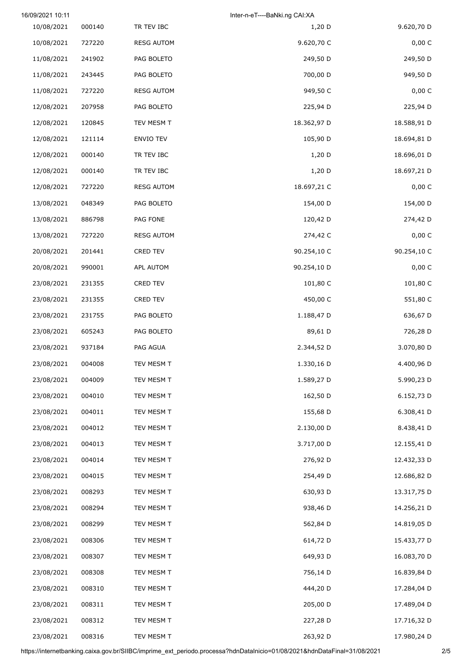|             | Inter-n-eT----BaNki.ng CAI:XA |                   |        | 16/09/2021 10:11 |
|-------------|-------------------------------|-------------------|--------|------------------|
| 9.620,70 D  | 1,20 D                        | TR TEV IBC        | 000140 | 10/08/2021       |
| 0,00 C      | 9.620,70 C                    | <b>RESG AUTOM</b> | 727220 | 10/08/2021       |
| 249,50 D    | 249,50 D                      | PAG BOLETO        | 241902 | 11/08/2021       |
| 949,50 D    | 700,00 D                      | PAG BOLETO        | 243445 | 11/08/2021       |
| 0,00 C      | 949,50 C                      | <b>RESG AUTOM</b> | 727220 | 11/08/2021       |
| 225,94 D    | 225,94 D                      | PAG BOLETO        | 207958 | 12/08/2021       |
| 18.588,91 D | 18.362,97 D                   | TEV MESM T        | 120845 | 12/08/2021       |
| 18.694,81 D | 105,90 D                      | ENVIO TEV         | 121114 | 12/08/2021       |
| 18.696,01 D | 1,20 D                        | TR TEV IBC        | 000140 | 12/08/2021       |
| 18.697,21 D | $1,20$ D                      | TR TEV IBC        | 000140 | 12/08/2021       |
| 0,00 C      | 18.697,21 C                   | <b>RESG AUTOM</b> | 727220 | 12/08/2021       |
| 154,00 D    | 154,00 D                      | PAG BOLETO        | 048349 | 13/08/2021       |
| 274,42 D    | 120,42 D                      | PAG FONE          | 886798 | 13/08/2021       |
| 0,00 C      | 274,42 C                      | <b>RESG AUTOM</b> | 727220 | 13/08/2021       |
| 90.254,10 C | 90.254,10 C                   | CRED TEV          | 201441 | 20/08/2021       |
| 0,00 C      | 90.254,10 D                   | APL AUTOM         | 990001 | 20/08/2021       |
| 101,80 C    | 101,80 C                      | CRED TEV          | 231355 | 23/08/2021       |
| 551,80 C    | 450,00 C                      | CRED TEV          | 231355 | 23/08/2021       |
| 636,67 D    | 1.188,47 D                    | PAG BOLETO        | 231755 | 23/08/2021       |
| 726,28 D    | 89,61 D                       | PAG BOLETO        | 605243 | 23/08/2021       |
| 3.070,80 D  | 2.344,52 D                    | PAG AGUA          | 937184 | 23/08/2021       |
| 4.400,96 D  | 1.330,16 D                    | TEV MESM T        | 004008 | 23/08/2021       |
| 5.990,23 D  | 1.589,27 D                    | TEV MESM T        | 004009 | 23/08/2021       |
| 6.152,73 D  | 162,50 D                      | TEV MESM T        | 004010 | 23/08/2021       |
| 6.308,41 D  | 155,68 D                      | TEV MESM T        | 004011 | 23/08/2021       |
| 8.438,41 D  | 2.130,00 D                    | TEV MESM T        | 004012 | 23/08/2021       |
| 12.155,41 D | 3.717,00 D                    | TEV MESM T        | 004013 | 23/08/2021       |
| 12.432,33 D | 276,92 D                      | TEV MESM T        | 004014 | 23/08/2021       |
| 12.686,82 D | 254,49 D                      | TEV MESM T        | 004015 | 23/08/2021       |
| 13.317,75 D | 630,93 D                      | TEV MESM T        | 008293 | 23/08/2021       |
| 14.256,21 D | 938,46 D                      | TEV MESM T        | 008294 | 23/08/2021       |
| 14.819,05 D | 562,84 D                      | TEV MESM T        | 008299 | 23/08/2021       |
| 15.433,77 D | 614,72 D                      | TEV MESM T        | 008306 | 23/08/2021       |
| 16.083,70 D | 649,93 D                      | TEV MESM T        | 008307 | 23/08/2021       |
| 16.839,84 D | 756,14 D                      | TEV MESM T        | 008308 | 23/08/2021       |
| 17.284,04 D | 444,20 D                      | TEV MESM T        | 008310 | 23/08/2021       |
| 17.489,04 D | 205,00 D                      | TEV MESM T        | 008311 | 23/08/2021       |
| 17.716,32 D | 227,28 D                      | TEV MESM T        | 008312 | 23/08/2021       |
| 17.980,24 D | 263,92 D                      | TEV MESM T        | 008316 | 23/08/2021       |

https://internetbanking.caixa.gov.br/SIIBC/imprime\_ext\_periodo.processa?hdnDataInicio=01/08/2021&hdnDataFinal=31/08/2021 2/5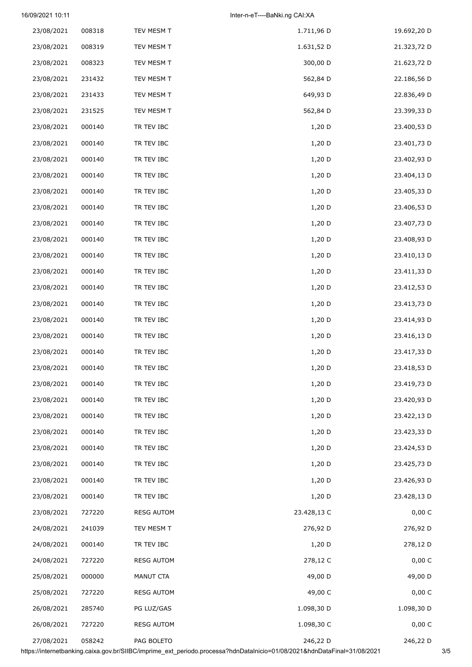## 16/09/2021 10:11 Inter-n-eT----BaNki.ng CAI:XA

| 23/08/2021 | 008318 | TEV MESM T        | 1.711,96 D  | 19.692,20 D |
|------------|--------|-------------------|-------------|-------------|
| 23/08/2021 | 008319 | TEV MESM T        | 1.631,52 D  | 21.323,72 D |
| 23/08/2021 | 008323 | TEV MESM T        | 300,00 D    | 21.623,72 D |
| 23/08/2021 | 231432 | TEV MESM T        | 562,84 D    | 22.186,56 D |
| 23/08/2021 | 231433 | TEV MESM T        | 649,93 D    | 22.836,49 D |
| 23/08/2021 | 231525 | TEV MESM T        | 562,84 D    | 23.399,33 D |
| 23/08/2021 | 000140 | TR TEV IBC        | 1,20 D      | 23.400,53 D |
| 23/08/2021 | 000140 | TR TEV IBC        | 1,20 D      | 23.401,73 D |
| 23/08/2021 | 000140 | TR TEV IBC        | 1,20 D      | 23.402,93 D |
| 23/08/2021 | 000140 | TR TEV IBC        | 1,20 D      | 23.404,13 D |
| 23/08/2021 | 000140 | TR TEV IBC        | 1,20 D      | 23.405,33 D |
| 23/08/2021 | 000140 | TR TEV IBC        | 1,20 D      | 23.406,53 D |
| 23/08/2021 | 000140 | TR TEV IBC        | 1,20 D      | 23.407,73 D |
| 23/08/2021 | 000140 | TR TEV IBC        | 1,20 D      | 23.408,93 D |
| 23/08/2021 | 000140 | TR TEV IBC        | 1,20 D      | 23.410,13 D |
| 23/08/2021 | 000140 | TR TEV IBC        | 1,20 D      | 23.411,33 D |
| 23/08/2021 | 000140 | TR TEV IBC        | 1,20 D      | 23.412,53 D |
| 23/08/2021 | 000140 | TR TEV IBC        | 1,20 D      | 23.413,73 D |
| 23/08/2021 | 000140 | TR TEV IBC        | 1,20 D      | 23.414,93 D |
| 23/08/2021 | 000140 | TR TEV IBC        | 1,20 D      | 23.416,13 D |
| 23/08/2021 | 000140 | TR TEV IBC        | $1,20$ D    | 23.417,33 D |
| 23/08/2021 | 000140 | TR TEV IBC        | 1,20 D      | 23.418,53 D |
| 23/08/2021 | 000140 | TR TEV IBC        | 1,20 D      | 23.419,73 D |
| 23/08/2021 | 000140 | TR TEV IBC        | 1,20 D      | 23.420,93 D |
| 23/08/2021 | 000140 | TR TEV IBC        | 1,20 D      | 23.422,13 D |
| 23/08/2021 | 000140 | TR TEV IBC        | 1,20 D      | 23.423,33 D |
| 23/08/2021 | 000140 | TR TEV IBC        | 1,20 D      | 23.424,53 D |
| 23/08/2021 | 000140 | TR TEV IBC        | 1,20 D      | 23.425,73 D |
| 23/08/2021 | 000140 | TR TEV IBC        | 1,20 D      | 23.426,93 D |
| 23/08/2021 | 000140 | TR TEV IBC        | 1,20 D      | 23.428,13 D |
| 23/08/2021 | 727220 | <b>RESG AUTOM</b> | 23.428,13 C | 0,00 C      |
| 24/08/2021 | 241039 | TEV MESM T        | 276,92 D    | 276,92 D    |
| 24/08/2021 | 000140 | TR TEV IBC        | 1,20 D      | 278,12 D    |
| 24/08/2021 | 727220 | <b>RESG AUTOM</b> | 278,12 C    | 0,00 C      |
| 25/08/2021 | 000000 | MANUT CTA         | 49,00 D     | 49,00 D     |
| 25/08/2021 | 727220 | <b>RESG AUTOM</b> | 49,00 C     | 0,00 C      |
| 26/08/2021 | 285740 | PG LUZ/GAS        | 1.098,30 D  | 1.098,30 D  |
| 26/08/2021 | 727220 | <b>RESG AUTOM</b> | 1.098,30 C  | 0,00 C      |
| 27/08/2021 | 058242 | PAG BOLETO        | 246,22 D    | 246,22 D    |

https://internetbanking.caixa.gov.br/SIIBC/imprime\_ext\_periodo.processa?hdnDataInicio=01/08/2021&hdnDataFinal=31/08/2021 3/5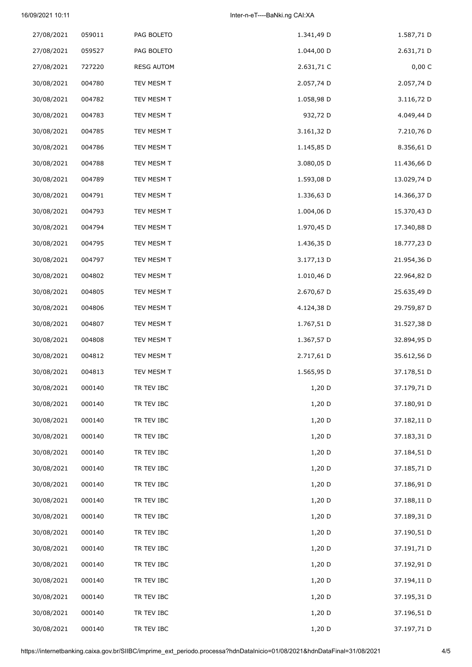## 16/09/2021 10:11 Inter-n-eT----BaNki.ng CAI:XA

| 27/08/2021 | 059011 | PAG BOLETO        | 1.341,49 D | 1.587,71 D  |
|------------|--------|-------------------|------------|-------------|
| 27/08/2021 | 059527 | PAG BOLETO        | 1.044,00 D | 2.631,71 D  |
| 27/08/2021 | 727220 | <b>RESG AUTOM</b> | 2.631,71 C | 0,00 C      |
| 30/08/2021 | 004780 | TEV MESM T        | 2.057,74 D | 2.057,74 D  |
| 30/08/2021 | 004782 | TEV MESM T        | 1.058,98 D | 3.116,72 D  |
| 30/08/2021 | 004783 | TEV MESM T        | 932,72 D   | 4.049,44 D  |
| 30/08/2021 | 004785 | TEV MESM T        | 3.161,32 D | 7.210,76 D  |
| 30/08/2021 | 004786 | TEV MESM T        | 1.145,85 D | 8.356,61 D  |
| 30/08/2021 | 004788 | TEV MESM T        | 3.080,05 D | 11.436,66 D |
| 30/08/2021 | 004789 | TEV MESM T        | 1.593,08 D | 13.029,74 D |
| 30/08/2021 | 004791 | TEV MESM T        | 1.336,63 D | 14.366,37 D |
| 30/08/2021 | 004793 | TEV MESM T        | 1.004,06 D | 15.370,43 D |
| 30/08/2021 | 004794 | TEV MESM T        | 1.970,45 D | 17.340,88 D |
| 30/08/2021 | 004795 | TEV MESM T        | 1.436,35 D | 18.777,23 D |
| 30/08/2021 | 004797 | TEV MESM T        | 3.177,13 D | 21.954,36 D |
| 30/08/2021 | 004802 | TEV MESM T        | 1.010,46 D | 22.964,82 D |
| 30/08/2021 | 004805 | TEV MESM T        | 2.670,67 D | 25.635,49 D |
| 30/08/2021 | 004806 | TEV MESM T        | 4.124,38 D | 29.759,87 D |
| 30/08/2021 | 004807 | TEV MESM T        | 1.767,51 D | 31.527,38 D |
| 30/08/2021 | 004808 | TEV MESM T        | 1.367,57 D | 32.894,95 D |
| 30/08/2021 | 004812 | TEV MESM T        | 2.717,61 D | 35.612,56 D |
| 30/08/2021 | 004813 | TEV MESM T        | 1.565,95 D | 37.178,51 D |
| 30/08/2021 | 000140 | TR TEV IBC        | 1,20 D     | 37.179,71 D |
| 30/08/2021 | 000140 | TR TEV IBC        | $1,20$ D   | 37.180,91 D |
| 30/08/2021 | 000140 | TR TEV IBC        | 1,20 D     | 37.182,11 D |
| 30/08/2021 | 000140 | TR TEV IBC        | 1,20 D     | 37.183,31 D |
| 30/08/2021 | 000140 | TR TEV IBC        | 1,20 D     | 37.184,51 D |
| 30/08/2021 | 000140 | TR TEV IBC        | 1,20 D     | 37.185,71 D |
| 30/08/2021 | 000140 | TR TEV IBC        | 1,20 D     | 37.186,91 D |
| 30/08/2021 | 000140 | TR TEV IBC        | 1,20 D     | 37.188,11 D |
| 30/08/2021 | 000140 | TR TEV IBC        | 1,20 D     | 37.189,31 D |
| 30/08/2021 | 000140 | TR TEV IBC        | 1,20 D     | 37.190,51 D |
| 30/08/2021 | 000140 | TR TEV IBC        | 1,20 D     | 37.191,71 D |
| 30/08/2021 | 000140 | TR TEV IBC        | 1,20 D     | 37.192,91 D |
| 30/08/2021 | 000140 | TR TEV IBC        | 1,20 D     | 37.194,11 D |
| 30/08/2021 | 000140 | TR TEV IBC        | 1,20 D     | 37.195,31 D |
| 30/08/2021 | 000140 | TR TEV IBC        | 1,20 D     | 37.196,51 D |
| 30/08/2021 | 000140 | TR TEV IBC        | 1,20 D     | 37.197,71 D |